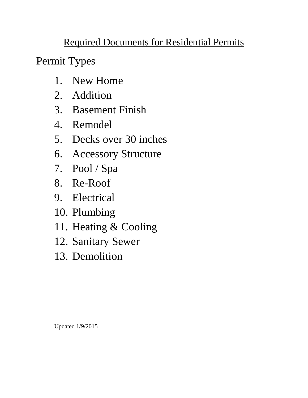# Required Documents for Residential Permits

Permit Types

- 1. New Home
- 2. Addition
- 3. Basement Finish
- 4. Remodel
- 5. Decks over 30 inches
- 6. Accessory Structure
- 7. Pool / Spa
- 8. Re-Roof
- 9. Electrical
- 10. Plumbing
- 11. Heating & Cooling
- 12. Sanitary Sewer
- 13. Demolition

Updated 1/9/2015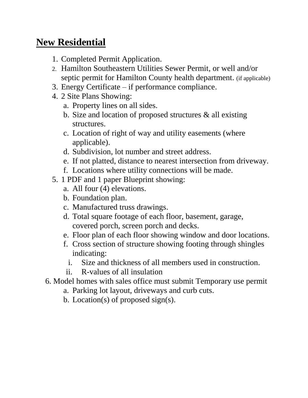#### **New Residential**

- 1. Completed Permit Application.
- 2. Hamilton Southeastern Utilities Sewer Permit, or well and/or septic permit for Hamilton County health department. (if applicable)
- 3. Energy Certificate if performance compliance.
- 4. 2 Site Plans Showing:
	- a. Property lines on all sides.
	- b. Size and location of proposed structures  $\&$  all existing structures.
	- c. Location of right of way and utility easements (where applicable).
	- d. Subdivision, lot number and street address.
	- e. If not platted, distance to nearest intersection from driveway.
	- f. Locations where utility connections will be made.
- 5. 1 PDF and 1 paper Blueprint showing:
	- a. All four (4) elevations.
	- b. Foundation plan.
	- c. Manufactured truss drawings.
	- d. Total square footage of each floor, basement, garage, covered porch, screen porch and decks.
	- e. Floor plan of each floor showing window and door locations.
	- f. Cross section of structure showing footing through shingles indicating:
		- i. Size and thickness of all members used in construction.
	- ii. R-values of all insulation
- 6. Model homes with sales office must submit Temporary use permit
	- a. Parking lot layout, driveways and curb cuts.
	- b. Location(s) of proposed sign(s).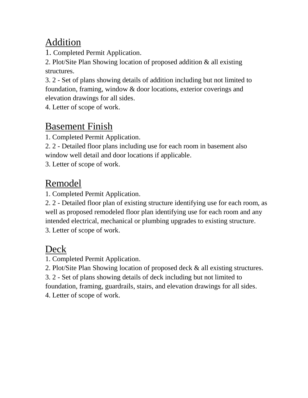### Addition

1. Completed Permit Application.

2. Plot/Site Plan Showing location of proposed addition & all existing structures.

3. 2 - Set of plans showing details of addition including but not limited to foundation, framing, window & door locations, exterior coverings and elevation drawings for all sides.

4. Letter of scope of work.

# Basement Finish

1. Completed Permit Application.

2. 2 - Detailed floor plans including use for each room in basement also window well detail and door locations if applicable.

3. Letter of scope of work.

## Remodel

1. Completed Permit Application.

2. 2 - Detailed floor plan of existing structure identifying use for each room, as well as proposed remodeled floor plan identifying use for each room and any intended electrical, mechanical or plumbing upgrades to existing structure. 3. Letter of scope of work.

### Deck

1. Completed Permit Application.

2. Plot/Site Plan Showing location of proposed deck & all existing structures.

3. 2 - Set of plans showing details of deck including but not limited to foundation, framing, guardrails, stairs, and elevation drawings for all sides. 4. Letter of scope of work.